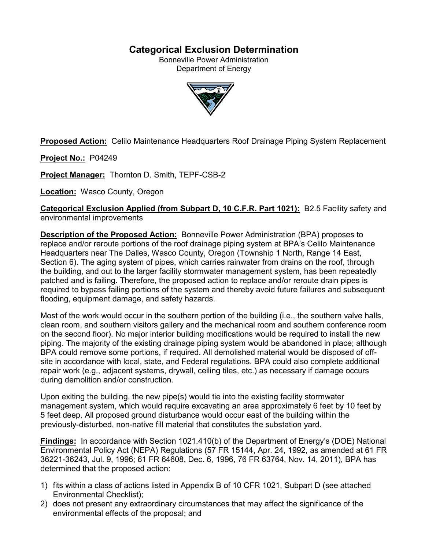# **Categorical Exclusion Determination**

Bonneville Power Administration Department of Energy



**Proposed Action:** Celilo Maintenance Headquarters Roof Drainage Piping System Replacement

**Project No.:** P04249

**Project Manager:** Thornton D. Smith, TEPF-CSB-2

**Location:** Wasco County, Oregon

**Categorical Exclusion Applied (from Subpart D, 10 C.F.R. Part 1021):** B2.5 Facility safety and environmental improvements

**Description of the Proposed Action:** Bonneville Power Administration (BPA) proposes to replace and/or reroute portions of the roof drainage piping system at BPA's Celilo Maintenance Headquarters near The Dalles, Wasco County, Oregon (Township 1 North, Range 14 East, Section 6). The aging system of pipes, which carries rainwater from drains on the roof, through the building, and out to the larger facility stormwater management system, has been repeatedly patched and is failing. Therefore, the proposed action to replace and/or reroute drain pipes is required to bypass failing portions of the system and thereby avoid future failures and subsequent flooding, equipment damage, and safety hazards.

Most of the work would occur in the southern portion of the building (i.e., the southern valve halls, clean room, and southern visitors gallery and the mechanical room and southern conference room on the second floor). No major interior building modifications would be required to install the new piping. The majority of the existing drainage piping system would be abandoned in place; although BPA could remove some portions, if required. All demolished material would be disposed of offsite in accordance with local, state, and Federal regulations. BPA could also complete additional repair work (e.g., adjacent systems, drywall, ceiling tiles, etc.) as necessary if damage occurs during demolition and/or construction.

Upon exiting the building, the new pipe(s) would tie into the existing facility stormwater management system, which would require excavating an area approximately 6 feet by 10 feet by 5 feet deep. All proposed ground disturbance would occur east of the building within the previously-disturbed, non-native fill material that constitutes the substation yard.

**Findings:** In accordance with Section 1021.410(b) of the Department of Energy's (DOE) National Environmental Policy Act (NEPA) Regulations (57 FR 15144, Apr. 24, 1992, as amended at 61 FR 36221-36243, Jul. 9, 1996; 61 FR 64608, Dec. 6, 1996, 76 FR 63764, Nov. 14, 2011), BPA has determined that the proposed action:

- 1) fits within a class of actions listed in Appendix B of 10 CFR 1021, Subpart D (see attached Environmental Checklist);
- 2) does not present any extraordinary circumstances that may affect the significance of the environmental effects of the proposal; and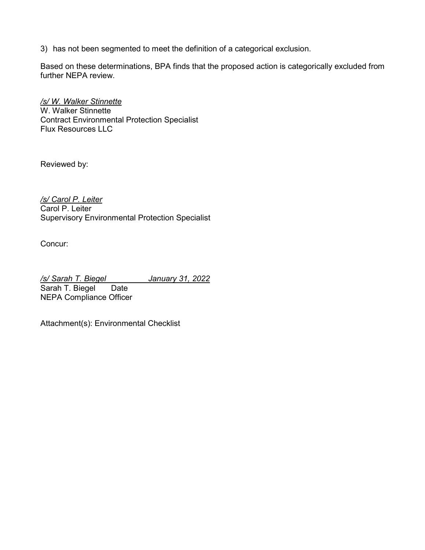3) has not been segmented to meet the definition of a categorical exclusion.

Based on these determinations, BPA finds that the proposed action is categorically excluded from further NEPA review.

*/s/ W. Walker Stinnette* W. Walker Stinnette Contract Environmental Protection Specialist Flux Resources LLC

Reviewed by:

*/s/ Carol P. Leiter* Carol P. Leiter Supervisory Environmental Protection Specialist

Concur:

*/s/ Sarah T. Biegel January 31, 2022* Sarah T. Biegel Date NEPA Compliance Officer

Attachment(s): Environmental Checklist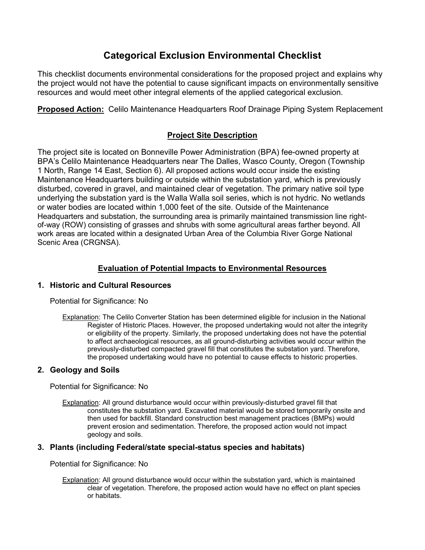# **Categorical Exclusion Environmental Checklist**

This checklist documents environmental considerations for the proposed project and explains why the project would not have the potential to cause significant impacts on environmentally sensitive resources and would meet other integral elements of the applied categorical exclusion.

**Proposed Action:** Celilo Maintenance Headquarters Roof Drainage Piping System Replacement

## **Project Site Description**

The project site is located on Bonneville Power Administration (BPA) fee-owned property at BPA's Celilo Maintenance Headquarters near The Dalles, Wasco County, Oregon (Township 1 North, Range 14 East, Section 6). All proposed actions would occur inside the existing Maintenance Headquarters building or outside within the substation yard, which is previously disturbed, covered in gravel, and maintained clear of vegetation. The primary native soil type underlying the substation yard is the Walla Walla soil series, which is not hydric. No wetlands or water bodies are located within 1,000 feet of the site. Outside of the Maintenance Headquarters and substation, the surrounding area is primarily maintained transmission line rightof-way (ROW) consisting of grasses and shrubs with some agricultural areas farther beyond. All work areas are located within a designated Urban Area of the Columbia River Gorge National Scenic Area (CRGNSA).

## **Evaluation of Potential Impacts to Environmental Resources**

## **1. Historic and Cultural Resources**

Potential for Significance: No

Explanation: The Celilo Converter Station has been determined eligible for inclusion in the National Register of Historic Places. However, the proposed undertaking would not alter the integrity or eligibility of the property. Similarly, the proposed undertaking does not have the potential to affect archaeological resources, as all ground-disturbing activities would occur within the previously-disturbed compacted gravel fill that constitutes the substation yard. Therefore, the proposed undertaking would have no potential to cause effects to historic properties.

## **2. Geology and Soils**

Potential for Significance: No

Explanation: All ground disturbance would occur within previously-disturbed gravel fill that constitutes the substation yard. Excavated material would be stored temporarily onsite and then used for backfill. Standard construction best management practices (BMPs) would prevent erosion and sedimentation. Therefore, the proposed action would not impact geology and soils.

## **3. Plants (including Federal/state special-status species and habitats)**

Potential for Significance: No

Explanation: All ground disturbance would occur within the substation yard, which is maintained clear of vegetation. Therefore, the proposed action would have no effect on plant species or habitats.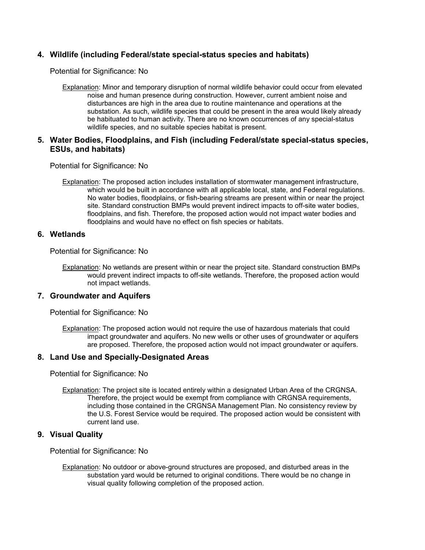## **4. Wildlife (including Federal/state special-status species and habitats)**

Potential for Significance: No

Explanation: Minor and temporary disruption of normal wildlife behavior could occur from elevated noise and human presence during construction. However, current ambient noise and disturbances are high in the area due to routine maintenance and operations at the substation. As such, wildlife species that could be present in the area would likely already be habituated to human activity. There are no known occurrences of any special-status wildlife species, and no suitable species habitat is present.

## **5. Water Bodies, Floodplains, and Fish (including Federal/state special-status species, ESUs, and habitats)**

Potential for Significance: No

Explanation: The proposed action includes installation of stormwater management infrastructure, which would be built in accordance with all applicable local, state, and Federal regulations. No water bodies, floodplains, or fish-bearing streams are present within or near the project site. Standard construction BMPs would prevent indirect impacts to off-site water bodies, floodplains, and fish. Therefore, the proposed action would not impact water bodies and floodplains and would have no effect on fish species or habitats.

## **6. Wetlands**

Potential for Significance: No

Explanation: No wetlands are present within or near the project site. Standard construction BMPs would prevent indirect impacts to off-site wetlands. Therefore, the proposed action would not impact wetlands.

#### **7. Groundwater and Aquifers**

Potential for Significance: No

Explanation: The proposed action would not require the use of hazardous materials that could impact groundwater and aquifers. No new wells or other uses of groundwater or aquifers are proposed. Therefore, the proposed action would not impact groundwater or aquifers.

#### **8. Land Use and Specially-Designated Areas**

Potential for Significance: No

Explanation: The project site is located entirely within a designated Urban Area of the CRGNSA. Therefore, the project would be exempt from compliance with CRGNSA requirements, including those contained in the CRGNSA Management Plan. No consistency review by the U.S. Forest Service would be required. The proposed action would be consistent with current land use.

## **9. Visual Quality**

Potential for Significance: No

Explanation: No outdoor or above-ground structures are proposed, and disturbed areas in the substation yard would be returned to original conditions. There would be no change in visual quality following completion of the proposed action.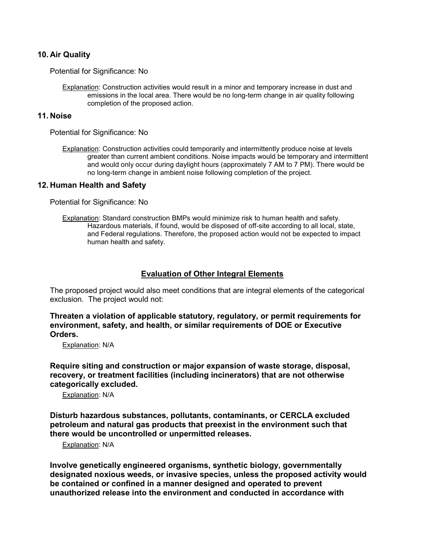### **10. Air Quality**

Potential for Significance: No

Explanation: Construction activities would result in a minor and temporary increase in dust and emissions in the local area. There would be no long-term change in air quality following completion of the proposed action.

#### **11. Noise**

Potential for Significance: No

Explanation: Construction activities could temporarily and intermittently produce noise at levels greater than current ambient conditions. Noise impacts would be temporary and intermittent and would only occur during daylight hours (approximately 7 AM to 7 PM). There would be no long-term change in ambient noise following completion of the project.

#### **12. Human Health and Safety**

Potential for Significance: No

Explanation: Standard construction BMPs would minimize risk to human health and safety. Hazardous materials, if found, would be disposed of off-site according to all local, state, and Federal regulations. Therefore, the proposed action would not be expected to impact human health and safety.

### **Evaluation of Other Integral Elements**

The proposed project would also meet conditions that are integral elements of the categorical exclusion. The project would not:

**Threaten a violation of applicable statutory, regulatory, or permit requirements for environment, safety, and health, or similar requirements of DOE or Executive Orders.**

Explanation: N/A

**Require siting and construction or major expansion of waste storage, disposal, recovery, or treatment facilities (including incinerators) that are not otherwise categorically excluded.**

Explanation: N/A

**Disturb hazardous substances, pollutants, contaminants, or CERCLA excluded petroleum and natural gas products that preexist in the environment such that there would be uncontrolled or unpermitted releases.**

Explanation: N/A

**Involve genetically engineered organisms, synthetic biology, governmentally designated noxious weeds, or invasive species, unless the proposed activity would be contained or confined in a manner designed and operated to prevent unauthorized release into the environment and conducted in accordance with**